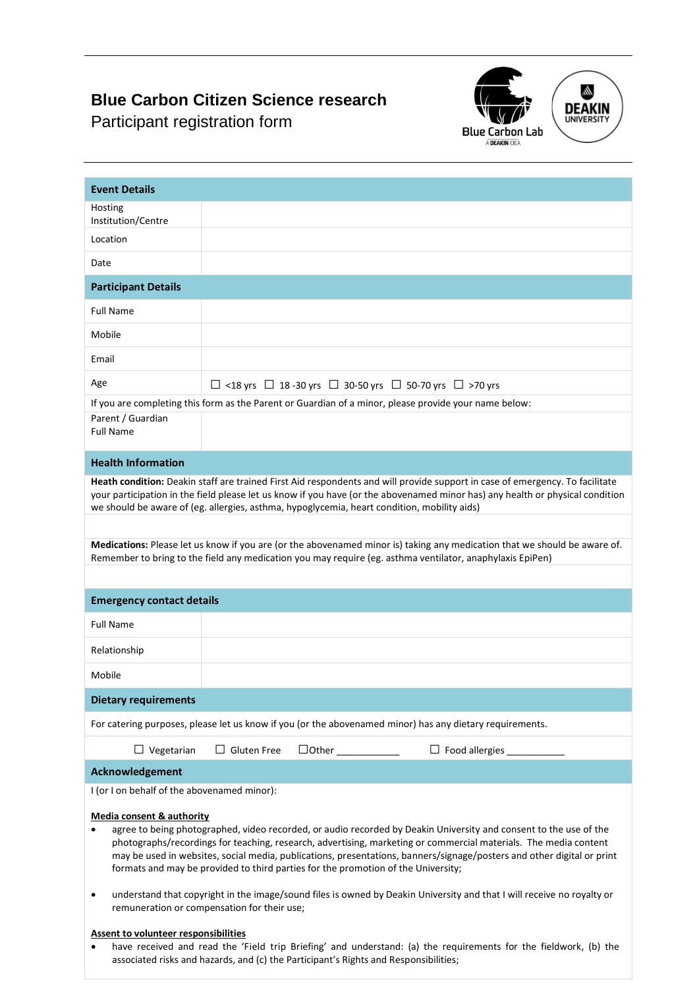## **Blue Carbon Citizen Science research**

Participant registration form





| <b>Event Details</b>                                                                                                                                                                                                                                                                                                                                                                                                                                                                                      |                    |  |                                                                                                       |  |
|-----------------------------------------------------------------------------------------------------------------------------------------------------------------------------------------------------------------------------------------------------------------------------------------------------------------------------------------------------------------------------------------------------------------------------------------------------------------------------------------------------------|--------------------|--|-------------------------------------------------------------------------------------------------------|--|
| Hosting                                                                                                                                                                                                                                                                                                                                                                                                                                                                                                   |                    |  |                                                                                                       |  |
| Institution/Centre                                                                                                                                                                                                                                                                                                                                                                                                                                                                                        |                    |  |                                                                                                       |  |
| Location                                                                                                                                                                                                                                                                                                                                                                                                                                                                                                  |                    |  |                                                                                                       |  |
| Date                                                                                                                                                                                                                                                                                                                                                                                                                                                                                                      |                    |  |                                                                                                       |  |
| <b>Participant Details</b>                                                                                                                                                                                                                                                                                                                                                                                                                                                                                |                    |  |                                                                                                       |  |
| <b>Full Name</b>                                                                                                                                                                                                                                                                                                                                                                                                                                                                                          |                    |  |                                                                                                       |  |
| Mobile                                                                                                                                                                                                                                                                                                                                                                                                                                                                                                    |                    |  |                                                                                                       |  |
| Email                                                                                                                                                                                                                                                                                                                                                                                                                                                                                                     |                    |  |                                                                                                       |  |
| Age                                                                                                                                                                                                                                                                                                                                                                                                                                                                                                       |                    |  | $\Box$ <18 yrs $\Box$ 18 -30 yrs $\Box$ 30-50 yrs $\Box$ 50-70 yrs $\Box$ >70 yrs                     |  |
|                                                                                                                                                                                                                                                                                                                                                                                                                                                                                                           |                    |  | If you are completing this form as the Parent or Guardian of a minor, please provide your name below: |  |
| Parent / Guardian<br><b>Full Name</b>                                                                                                                                                                                                                                                                                                                                                                                                                                                                     |                    |  |                                                                                                       |  |
| <b>Health Information</b>                                                                                                                                                                                                                                                                                                                                                                                                                                                                                 |                    |  |                                                                                                       |  |
| Heath condition: Deakin staff are trained First Aid respondents and will provide support in case of emergency. To facilitate<br>your participation in the field please let us know if you have (or the abovenamed minor has) any health or physical condition<br>we should be aware of (eg. allergies, asthma, hypoglycemia, heart condition, mobility aids)                                                                                                                                              |                    |  |                                                                                                       |  |
| Medications: Please let us know if you are (or the abovenamed minor is) taking any medication that we should be aware of.<br>Remember to bring to the field any medication you may require (eg. asthma ventilator, anaphylaxis EpiPen)                                                                                                                                                                                                                                                                    |                    |  |                                                                                                       |  |
| <b>Emergency contact details</b>                                                                                                                                                                                                                                                                                                                                                                                                                                                                          |                    |  |                                                                                                       |  |
| <b>Full Name</b>                                                                                                                                                                                                                                                                                                                                                                                                                                                                                          |                    |  |                                                                                                       |  |
| Relationship                                                                                                                                                                                                                                                                                                                                                                                                                                                                                              |                    |  |                                                                                                       |  |
| Mobile                                                                                                                                                                                                                                                                                                                                                                                                                                                                                                    |                    |  |                                                                                                       |  |
| <b>Dietary requirements</b>                                                                                                                                                                                                                                                                                                                                                                                                                                                                               |                    |  |                                                                                                       |  |
| For catering purposes, please let us know if you (or the abovenamed minor) has any dietary requirements.                                                                                                                                                                                                                                                                                                                                                                                                  |                    |  |                                                                                                       |  |
| $\Box$ Vegetarian                                                                                                                                                                                                                                                                                                                                                                                                                                                                                         | $\Box$ Gluten Free |  |                                                                                                       |  |
| Acknowledgement                                                                                                                                                                                                                                                                                                                                                                                                                                                                                           |                    |  |                                                                                                       |  |
| I (or I on behalf of the abovenamed minor):                                                                                                                                                                                                                                                                                                                                                                                                                                                               |                    |  |                                                                                                       |  |
| <b>Media consent &amp; authority</b><br>agree to being photographed, video recorded, or audio recorded by Deakin University and consent to the use of the<br>$\bullet$<br>photographs/recordings for teaching, research, advertising, marketing or commercial materials. The media content<br>may be used in websites, social media, publications, presentations, banners/signage/posters and other digital or print<br>formats and may be provided to third parties for the promotion of the University; |                    |  |                                                                                                       |  |
| understand that copyright in the image/sound files is owned by Deakin University and that I will receive no royalty or<br>$\bullet$<br>remuneration or compensation for their use;                                                                                                                                                                                                                                                                                                                        |                    |  |                                                                                                       |  |
| <b>Assent to volunteer responsibilities</b>                                                                                                                                                                                                                                                                                                                                                                                                                                                               |                    |  |                                                                                                       |  |

• have received and read the 'Field trip Briefing' and understand: (a) the requirements for the fieldwork, (b) the associated risks and hazards, and (c) the Participant's Rights and Responsibilities;